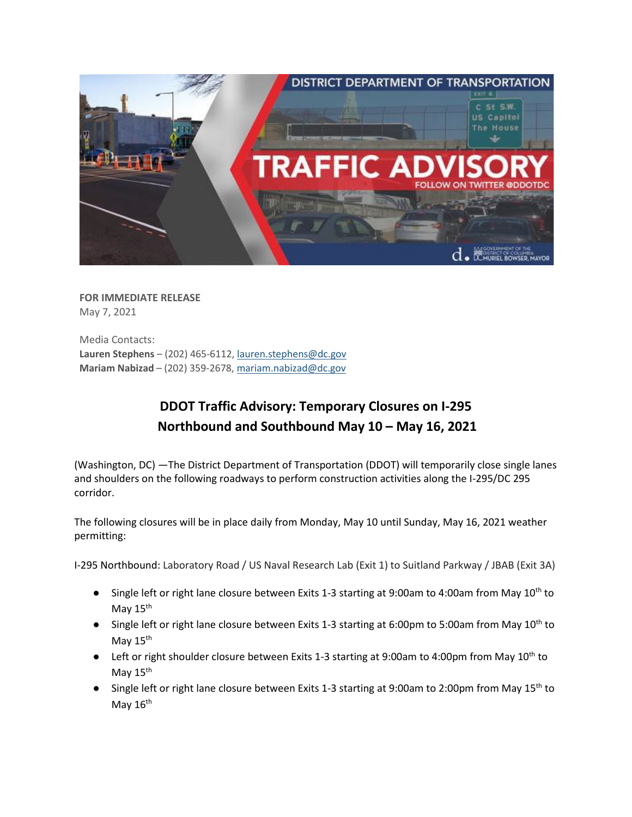

**FOR IMMEDIATE RELEASE** May 7, 2021

Media Contacts: **Lauren Stephens** – (202) 465-6112[, lauren.stephens@dc.gov](mailto:lauren.stephens@dc.gov) **Mariam Nabizad** – (202) 359-2678, [mariam.nabizad@dc.gov](mailto:mariam.nabizad@dc.gov)

## **DDOT Traffic Advisory: Temporary Closures on I-295 Northbound and Southbound May 10 – May 16, 2021**

(Washington, DC) —The District Department of Transportation (DDOT) will temporarily close single lanes and shoulders on the following roadways to perform construction activities along the I-295/DC 295 corridor.

The following closures will be in place daily from Monday, May 10 until Sunday, May 16, 2021 weather permitting:

I-295 Northbound: Laboratory Road / US Naval Research Lab (Exit 1) to Suitland Parkway / JBAB (Exit 3A)

- Single left or right lane closure between Exits 1-3 starting at 9:00am to 4:00am from May 10<sup>th</sup> to May 15<sup>th</sup>
- Single left or right lane closure between Exits 1-3 starting at 6:00pm to 5:00am from May 10<sup>th</sup> to May  $15<sup>th</sup>$
- Left or right shoulder closure between Exits 1-3 starting at 9:00am to 4:00pm from May 10<sup>th</sup> to May 15<sup>th</sup>
- Single left or right lane closure between Exits 1-3 starting at 9:00am to 2:00pm from May 15<sup>th</sup> to May  $16<sup>th</sup>$